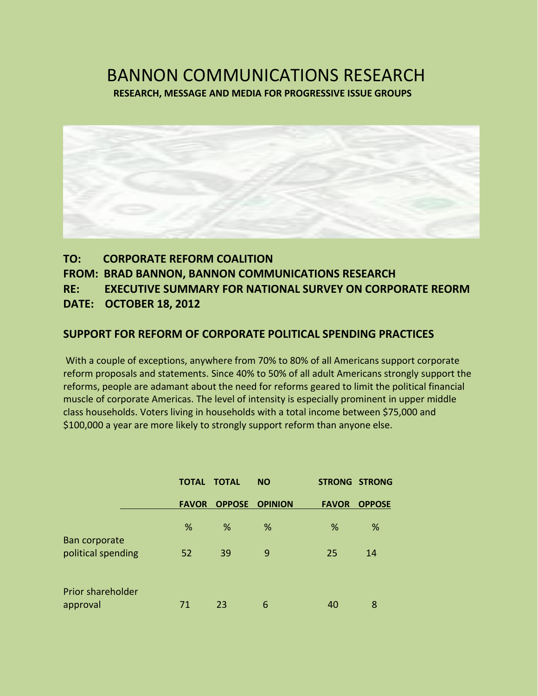## BANNON COMMUNICATIONS RESEARCH **RESEARCH, MESSAGE AND MEDIA FOR PROGRESSIVE ISSUE GROUPS**



## **TO: CORPORATE REFORM COALITION FROM: BRAD BANNON, BANNON COMMUNICATIONS RESEARCH RE: EXECUTIVE SUMMARY FOR NATIONAL SURVEY ON CORPORATE REORM DATE: OCTOBER 18, 2012**

### **SUPPORT FOR REFORM OF CORPORATE POLITICAL SPENDING PRACTICES**

With a couple of exceptions, anywhere from 70% to 80% of all Americans support corporate reform proposals and statements. Since 40% to 50% of all adult Americans strongly support the reforms, people are adamant about the need for reforms geared to limit the political financial muscle of corporate Americas. The level of intensity is especially prominent in upper middle class households. Voters living in households with a total income between \$75,000 and \$100,000 a year are more likely to strongly support reform than anyone else.

|                    | <b>TOTAL TOTAL</b> |                       | <b>NO</b> |              | <b>STRONG STRONG</b> |
|--------------------|--------------------|-----------------------|-----------|--------------|----------------------|
|                    | <b>FAVOR</b>       | <b>OPPOSE OPINION</b> |           | <b>FAVOR</b> | <b>OPPOSE</b>        |
| Ban corporate      | %                  | %                     | %         | %            | %                    |
| political spending | 52                 | 39                    | 9         | 25           | 14                   |
| Prior shareholder  |                    |                       |           |              |                      |
| approval           | 71                 | 23                    | 6         | 40           | 8                    |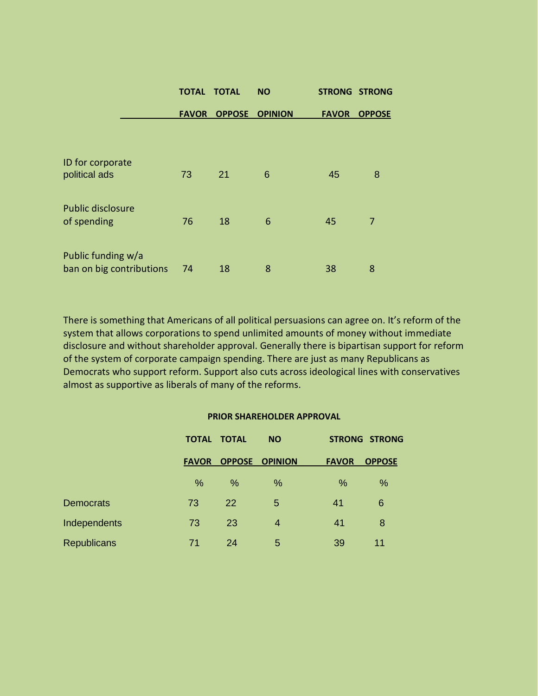|                                                | <b>TOTAL</b> | <b>TOTAL</b>  | <b>NO</b>      |              | <b>STRONG STRONG</b> |
|------------------------------------------------|--------------|---------------|----------------|--------------|----------------------|
|                                                | <b>FAVOR</b> | <b>OPPOSE</b> | <b>OPINION</b> | <b>FAVOR</b> | <b>OPPOSE</b>        |
| ID for corporate                               |              |               |                |              |                      |
| political ads                                  | 73           | 21            | 6              | 45           | 8                    |
| Public disclosure                              |              |               |                |              |                      |
| of spending                                    | 76           | 18            | 6              | 45           | 7                    |
| Public funding w/a<br>ban on big contributions | 74           | 18            | 8              | 38           | 8                    |
|                                                |              |               |                |              |                      |

There is something that Americans of all political persuasions can agree on. It's reform of the system that allows corporations to spend unlimited amounts of money without immediate disclosure and without shareholder approval. Generally there is bipartisan support for reform of the system of corporate campaign spending. There are just as many Republicans as Democrats who support reform. Support also cuts across ideological lines with conservatives almost as supportive as liberals of many of the reforms.

#### **PRIOR SHAREHOLDER APPROVAL**

|                    |              | <b>TOTAL TOTAL</b><br><b>NO</b> |                | <b>STRONG STRONG</b> |               |
|--------------------|--------------|---------------------------------|----------------|----------------------|---------------|
|                    | <b>FAVOR</b> | <b>OPPOSE</b>                   | <b>OPINION</b> | <b>FAVOR</b>         | <b>OPPOSE</b> |
|                    | %            | %                               | %              | %                    | %             |
| <b>Democrats</b>   | 73           | 22                              | 5              | 41                   | 6             |
| Independents       | 73           | 23                              | $\overline{4}$ | 41                   | 8             |
| <b>Republicans</b> | 71           | 24                              | 5              | 39                   | 11            |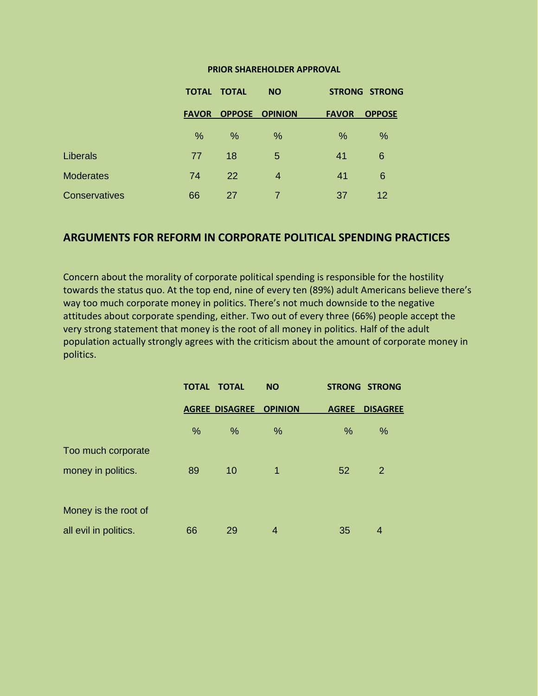#### **PRIOR SHAREHOLDER APPROVAL**

|                  |              | <b>TOTAL TOTAL</b><br><b>NO</b> |                       | <b>STRONG STRONG</b> |               |
|------------------|--------------|---------------------------------|-----------------------|----------------------|---------------|
|                  | <b>FAVOR</b> |                                 | <b>OPPOSE OPINION</b> | <b>FAVOR</b>         | <b>OPPOSE</b> |
|                  | %            | %                               | %                     | %                    | %             |
| Liberals         | 77           | 18                              | 5                     | 41                   | 6             |
| <b>Moderates</b> | 74           | <b>22</b>                       | $\overline{4}$        | 41                   | 6             |
| Conservatives    | 66           | 27                              | $\overline{7}$        | 37                   | 12            |

#### **ARGUMENTS FOR REFORM IN CORPORATE POLITICAL SPENDING PRACTICES**

Concern about the morality of corporate political spending is responsible for the hostility towards the status quo. At the top end, nine of every ten (89%) adult Americans believe there's way too much corporate money in politics. There's not much downside to the negative attitudes about corporate spending, either. Two out of every three (66%) people accept the very strong statement that money is the root of all money in politics. Half of the adult population actually strongly agrees with the criticism about the amount of corporate money in politics.

|                       |    | <b>TOTAL TOTAL</b>    | <b>NO</b>      |              | <b>STRONG STRONG</b> |
|-----------------------|----|-----------------------|----------------|--------------|----------------------|
|                       |    | <b>AGREE DISAGREE</b> | <b>OPINION</b> | <b>AGREE</b> | <b>DISAGREE</b>      |
|                       | %  | $\%$                  | %              | %            | %                    |
| Too much corporate    |    |                       |                |              |                      |
| money in politics.    | 89 | 10                    | 1              | 52           | 2                    |
|                       |    |                       |                |              |                      |
| Money is the root of  |    |                       |                |              |                      |
| all evil in politics. | 66 | 29                    | 4              | 35           | 4                    |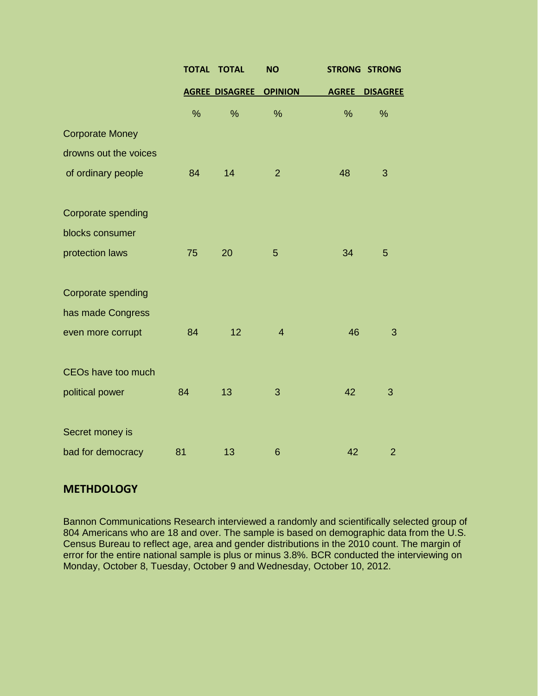|                           | <b>TOTAL</b> | <b>TOTAL</b>          | <b>NO</b>      | <b>STRONG</b> | <b>STRONG</b>   |
|---------------------------|--------------|-----------------------|----------------|---------------|-----------------|
|                           |              | <b>AGREE DISAGREE</b> | <b>OPINION</b> | <b>AGREE</b>  | <b>DISAGREE</b> |
|                           | $\%$         | %                     | %              | %             | %               |
| <b>Corporate Money</b>    |              |                       |                |               |                 |
| drowns out the voices     |              |                       |                |               |                 |
| of ordinary people        | 84           | 14                    | $\overline{2}$ | 48            | 3               |
| <b>Corporate spending</b> |              |                       |                |               |                 |
| blocks consumer           |              |                       |                |               |                 |
| protection laws           | 75           | 20                    | 5              | 34            | 5               |
| Corporate spending        |              |                       |                |               |                 |
| has made Congress         |              |                       |                |               |                 |
| even more corrupt         | 84           | 12                    | $\overline{4}$ | 46            | 3               |
| CEOs have too much        |              |                       |                |               |                 |
| political power           | 84           | 13                    | 3              | 42            | 3               |
| Secret money is           |              |                       |                |               |                 |
| bad for democracy         | 81           | 13                    | 6              | 42            | $\overline{2}$  |

## **METHDOLOGY**

Bannon Communications Research interviewed a randomly and scientifically selected group of 804 Americans who are 18 and over. The sample is based on demographic data from the U.S. Census Bureau to reflect age, area and gender distributions in the 2010 count. The margin of error for the entire national sample is plus or minus 3.8%. BCR conducted the interviewing on Monday, October 8, Tuesday, October 9 and Wednesday, October 10, 2012.